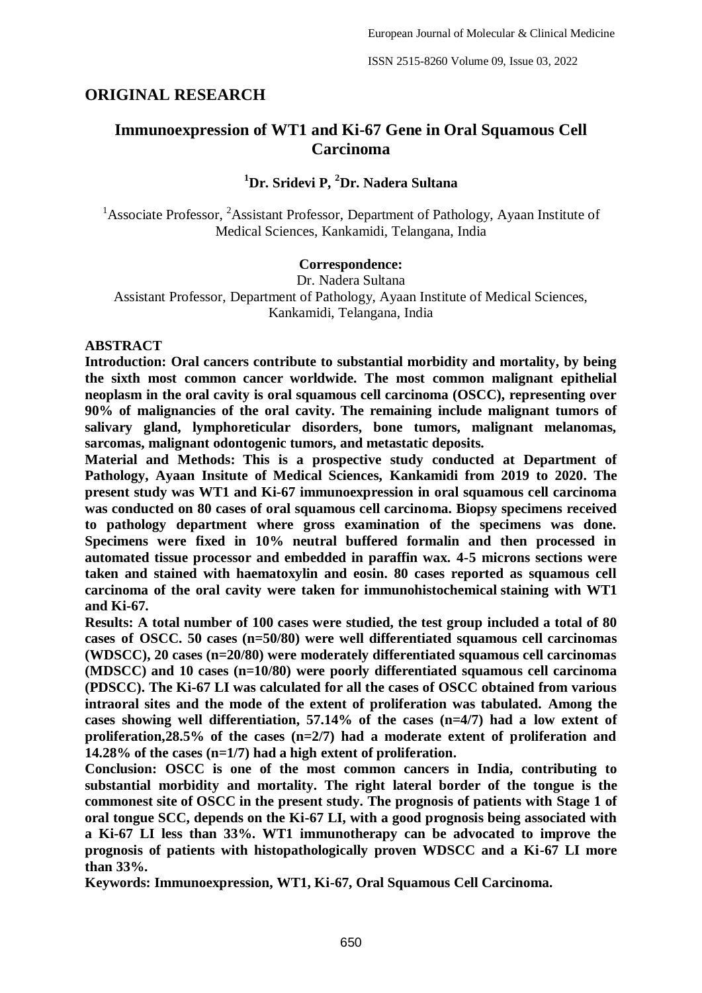# **ORIGINAL RESEARCH**

# **Immunoexpression of WT1 and Ki-67 Gene in Oral Squamous Cell Carcinoma**

# **<sup>1</sup>Dr. Sridevi P, <sup>2</sup>Dr. Nadera Sultana**

<sup>1</sup>Associate Professor, <sup>2</sup>Assistant Professor, Department of Pathology, Ayaan Institute of Medical Sciences, Kankamidi, Telangana, India

#### **Correspondence:**

Dr. Nadera Sultana Assistant Professor, Department of Pathology, Ayaan Institute of Medical Sciences, Kankamidi, Telangana, India

#### **ABSTRACT**

**Introduction: Oral cancers contribute to substantial morbidity and mortality, by being the sixth most common cancer worldwide. The most common malignant epithelial neoplasm in the oral cavity is oral squamous cell carcinoma (OSCC), representing over 90% of malignancies of the oral cavity. The remaining include malignant tumors of salivary gland, lymphoreticular disorders, bone tumors, malignant melanomas, sarcomas, malignant odontogenic tumors, and metastatic deposits.**

**Material and Methods: This is a prospective study conducted at Department of Pathology, Ayaan Insitute of Medical Sciences, Kankamidi from 2019 to 2020. The present study was WT1 and Ki-67 immunoexpression in oral squamous cell carcinoma was conducted on 80 cases of oral squamous cell carcinoma. Biopsy specimens received to pathology department where gross examination of the specimens was done. Specimens were fixed in 10% neutral buffered formalin and then processed in automated tissue processor and embedded in paraffin wax. 4-5 microns sections were taken and stained with haematoxylin and eosin. 80 cases reported as squamous cell carcinoma of the oral cavity were taken for immunohistochemical staining with WT1 and Ki-67.**

**Results: A total number of 100 cases were studied, the test group included a total of 80 cases of OSCC. 50 cases (n=50/80) were well differentiated squamous cell carcinomas (WDSCC), 20 cases (n=20/80) were moderately differentiated squamous cell carcinomas (MDSCC) and 10 cases (n=10/80) were poorly differentiated squamous cell carcinoma (PDSCC). The Ki-67 LI was calculated for all the cases of OSCC obtained from various intraoral sites and the mode of the extent of proliferation was tabulated. Among the cases showing well differentiation, 57.14% of the cases (n=4/7) had a low extent of proliferation,28.5% of the cases (n=2/7) had a moderate extent of proliferation and 14.28% of the cases (n=1/7) had a high extent of proliferation.**

**Conclusion: OSCC is one of the most common cancers in India, contributing to substantial morbidity and mortality. The right lateral border of the tongue is the commonest site of OSCC in the present study. The prognosis of patients with Stage 1 of oral tongue SCC, depends on the Ki-67 LI, with a good prognosis being associated with a Ki-67 LI less than 33%. WT1 immunotherapy can be advocated to improve the prognosis of patients with histopathologically proven WDSCC and a Ki-67 LI more than 33%.**

**Keywords: Immunoexpression, WT1, Ki-67, Oral Squamous Cell Carcinoma.**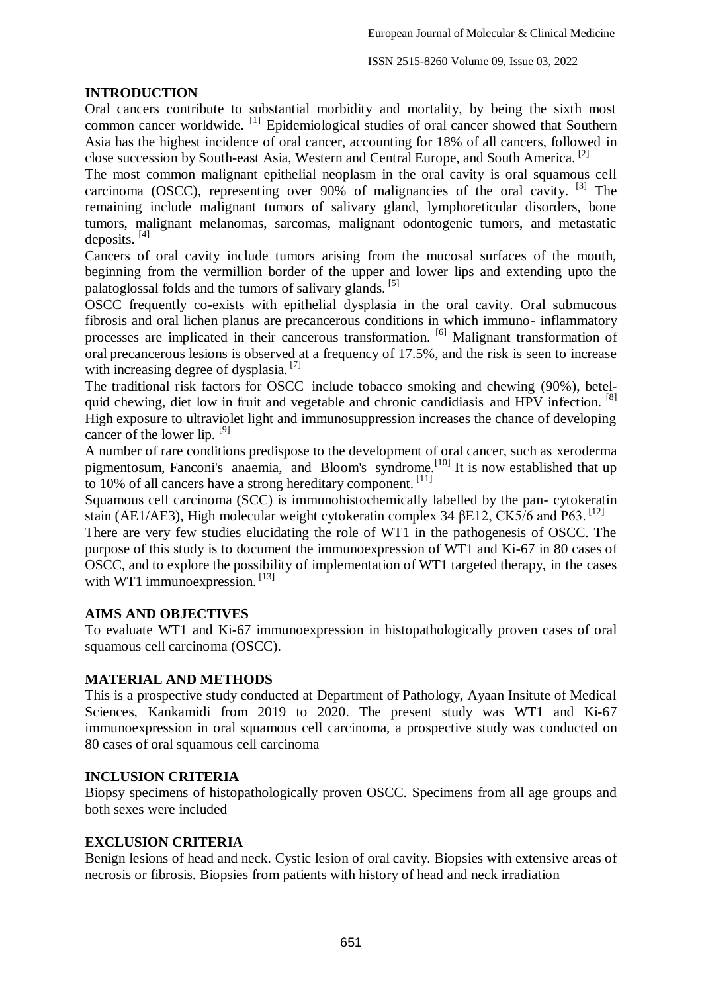### **INTRODUCTION**

Oral cancers contribute to substantial morbidity and mortality, by being the sixth most common cancer worldwide. [1] Epidemiological studies of oral cancer showed that Southern Asia has the highest incidence of oral cancer, accounting for 18% of all cancers, followed in close succession by South-east Asia, Western and Central Europe, and South America. [2]

The most common malignant epithelial neoplasm in the oral cavity is oral squamous cell carcinoma (OSCC), representing over 90% of malignancies of the oral cavity. <sup>[3]</sup> The remaining include malignant tumors of salivary gland, lymphoreticular disorders, bone tumors, malignant melanomas, sarcomas, malignant odontogenic tumors, and metastatic deposits.  $^{[4]}$ 

Cancers of oral cavity include tumors arising from the mucosal surfaces of the mouth, beginning from the vermillion border of the upper and lower lips and extending upto the palatoglossal folds and the tumors of salivary glands. <sup>[5]</sup>

OSCC frequently co-exists with epithelial dysplasia in the oral cavity. Oral submucous fibrosis and oral lichen planus are precancerous conditions in which immuno- inflammatory processes are implicated in their cancerous transformation. <sup>[6]</sup> Malignant transformation of oral precancerous lesions is observed at a frequency of 17.5%, and the risk is seen to increase with increasing degree of dysplasia.<sup>[7]</sup>

The traditional risk factors for OSCC include tobacco smoking and chewing (90%), betelquid chewing, diet low in fruit and vegetable and chronic candidiasis and HPV infection. <sup>[8]</sup> High exposure to ultraviolet light and immunosuppression increases the chance of developing cancer of the lower lip.  $[9]$ 

A number of rare conditions predispose to the development of oral cancer, such as xeroderma pigmentosum, Fanconi's anaemia, and Bloom's syndrome.<sup>[10]</sup> It is now established that up to 10% of all cancers have a strong hereditary component. [11]

Squamous cell carcinoma (SCC) is immunohistochemically labelled by the pan- cytokeratin stain (AE1/AE3), High molecular weight cytokeratin complex 34  $\beta$ E12, CK5/6 and P63.<sup>[12]</sup>

There are very few studies elucidating the role of WT1 in the pathogenesis of OSCC. The purpose of this study is to document the immunoexpression of WT1 and Ki-67 in 80 cases of OSCC, and to explore the possibility of implementation of WT1 targeted therapy, in the cases with WT1 immunoexpression.  $^{[13]}$ 

#### **AIMS AND OBJECTIVES**

To evaluate WT1 and Ki-67 immunoexpression in histopathologically proven cases of oral squamous cell carcinoma (OSCC).

#### **MATERIAL AND METHODS**

This is a prospective study conducted at Department of Pathology, Ayaan Insitute of Medical Sciences, Kankamidi from 2019 to 2020. The present study was WT1 and Ki-67 immunoexpression in oral squamous cell carcinoma, a prospective study was conducted on 80 cases of oral squamous cell carcinoma

#### **INCLUSION CRITERIA**

Biopsy specimens of histopathologically proven OSCC. Specimens from all age groups and both sexes were included

#### **EXCLUSION CRITERIA**

Benign lesions of head and neck. Cystic lesion of oral cavity. Biopsies with extensive areas of necrosis or fibrosis. Biopsies from patients with history of head and neck irradiation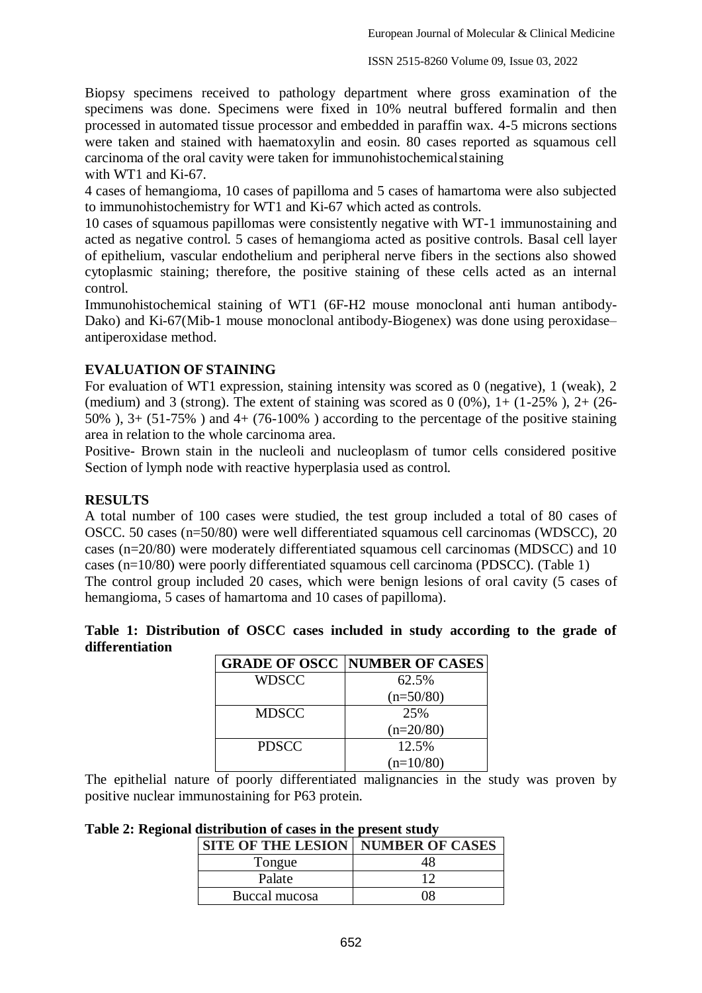Biopsy specimens received to pathology department where gross examination of the specimens was done. Specimens were fixed in 10% neutral buffered formalin and then processed in automated tissue processor and embedded in paraffin wax. 4-5 microns sections were taken and stained with haematoxylin and eosin. 80 cases reported as squamous cell carcinoma of the oral cavity were taken for immunohistochemicalstaining with WT1 and Ki-67.

4 cases of hemangioma, 10 cases of papilloma and 5 cases of hamartoma were also subjected to immunohistochemistry for WT1 and Ki-67 which acted as controls.

10 cases of squamous papillomas were consistently negative with WT-1 immunostaining and acted as negative control. 5 cases of hemangioma acted as positive controls. Basal cell layer of epithelium, vascular endothelium and peripheral nerve fibers in the sections also showed cytoplasmic staining; therefore, the positive staining of these cells acted as an internal control.

Immunohistochemical staining of WT1 (6F-H2 mouse monoclonal anti human antibody-Dako) and Ki-67(Mib-1 mouse monoclonal antibody-Biogenex) was done using peroxidase– antiperoxidase method.

# **EVALUATION OF STAINING**

For evaluation of WT1 expression, staining intensity was scored as 0 (negative), 1 (weak), 2 (medium) and 3 (strong). The extent of staining was scored as  $0(0\%)$ ,  $1+(1-25\%)$ ,  $2+(26-$ 50% ), 3+ (51-75% ) and 4+ (76-100% ) according to the percentage of the positive staining area in relation to the whole carcinoma area.

Positive- Brown stain in the nucleoli and nucleoplasm of tumor cells considered positive Section of lymph node with reactive hyperplasia used as control.

### **RESULTS**

A total number of 100 cases were studied, the test group included a total of 80 cases of OSCC. 50 cases (n=50/80) were well differentiated squamous cell carcinomas (WDSCC), 20 cases (n=20/80) were moderately differentiated squamous cell carcinomas (MDSCC) and 10 cases (n=10/80) were poorly differentiated squamous cell carcinoma (PDSCC). (Table 1) The control group included 20 cases, which were benign lesions of oral cavity (5 cases of hemangioma, 5 cases of hamartoma and 10 cases of papilloma).

|                 | Table 1: Distribution of OSCC cases included in study according to the grade of |  |  |  |  |  |  |
|-----------------|---------------------------------------------------------------------------------|--|--|--|--|--|--|
| differentiation |                                                                                 |  |  |  |  |  |  |

|              | <b>GRADE OF OSCC NUMBER OF CASES</b> |
|--------------|--------------------------------------|
| <b>WDSCC</b> | 62.5%                                |
|              | $(n=50/80)$                          |
| <b>MDSCC</b> | 25%                                  |
|              | $(n=20/80)$                          |
| <b>PDSCC</b> | 12.5%                                |
|              | $(n=10/80)$                          |

The epithelial nature of poorly differentiated malignancies in the study was proven by positive nuclear immunostaining for P63 protein.

#### **Table 2: Regional distribution of cases in the present study**

| <b>SITE OF THE LESION   NUMBER OF CASES</b> |    |
|---------------------------------------------|----|
| Tongue                                      | 48 |
| Palate                                      |    |
| Buccal mucosa                               | ገՋ |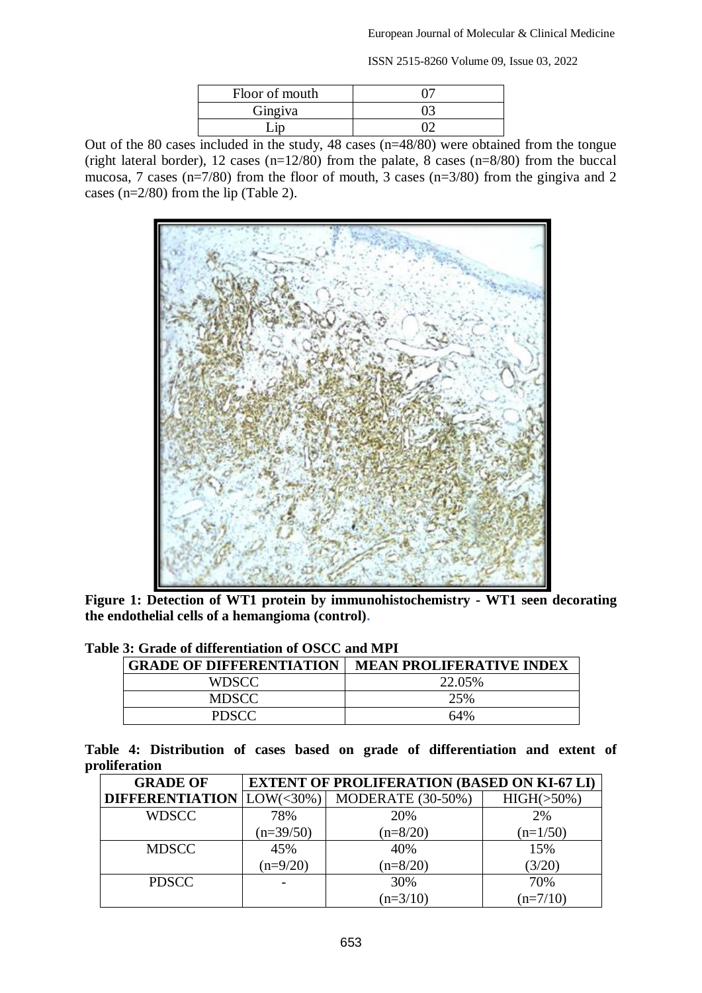ISSN 2515-8260 Volume 09, Issue 03, 2022

| Floor of mouth |  |
|----------------|--|
| Gingiva        |  |
|                |  |

Out of the 80 cases included in the study, 48 cases (n=48/80) were obtained from the tongue (right lateral border), 12 cases (n=12/80) from the palate, 8 cases (n=8/80) from the buccal mucosa, 7 cases ( $n=7/80$ ) from the floor of mouth, 3 cases ( $n=3/80$ ) from the gingiva and 2 cases (n=2/80) from the lip (Table 2).



**Figure 1: Detection of WT1 protein by immunohistochemistry - WT1 seen decorating the endothelial cells of a hemangioma (control).**

| <b>GRADE OF DIFFERENTIATION</b> | <b>MEAN PROLIFERATIVE INDEX</b> |  |  |
|---------------------------------|---------------------------------|--|--|
| WDSCC                           | 22.05%                          |  |  |
| <b>MDSCC</b>                    | 25%                             |  |  |
| <b>PDSCC</b>                    | 64%                             |  |  |

### **Table 3: Grade of differentiation of OSCC and MPI**

**Table 4: Distribution of cases based on grade of differentiation and extent of proliferation**

| <b>GRADE OF</b>                  | <b>EXTENT OF PROLIFERATION (BASED ON KI-67 LI)</b> |                   |                |  |  |
|----------------------------------|----------------------------------------------------|-------------------|----------------|--|--|
| <b>DIFFERENTIATION</b> LOW(<30%) |                                                    | MODERATE (30-50%) | $HIGH( >50\%)$ |  |  |
| <b>WDSCC</b>                     | 78%                                                | 20%               | 2%             |  |  |
|                                  | $(n=39/50)$                                        | $(n=8/20)$        | $(n=1/50)$     |  |  |
| <b>MDSCC</b>                     | 45%                                                | 40%               | 15%            |  |  |
|                                  | $(n=9/20)$                                         | $(n=8/20)$        | (3/20)         |  |  |
| <b>PDSCC</b>                     |                                                    | 30%               | 70%            |  |  |
|                                  |                                                    | $(n=3/10)$        | $(n=7/10)$     |  |  |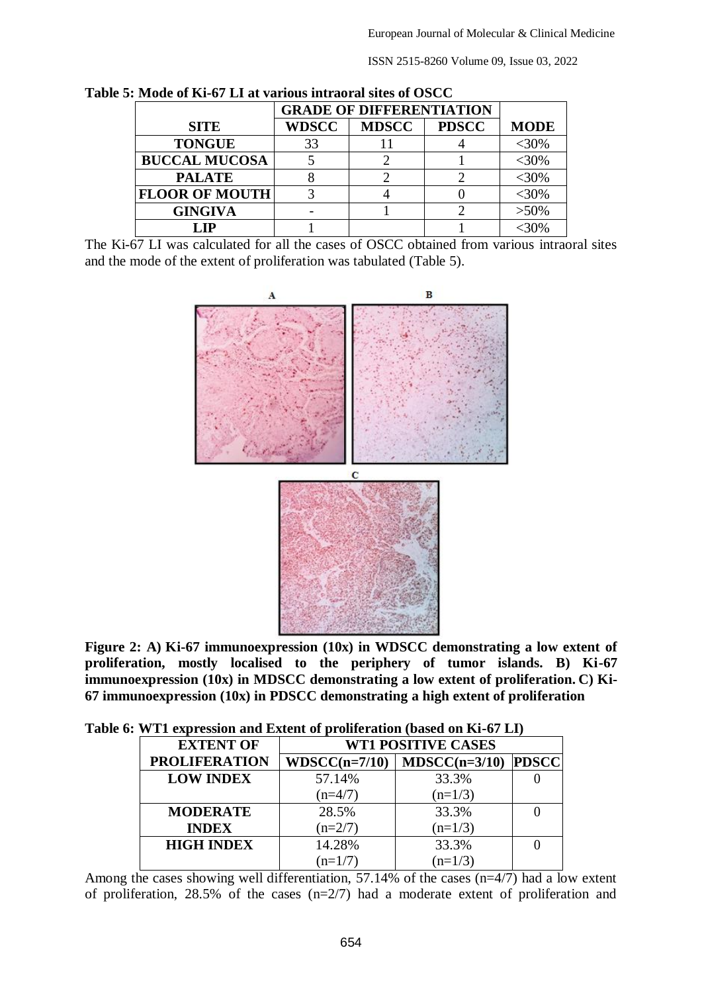ISSN 2515-8260 Volume 09, Issue 03, 2022

| $\mathcal{G}$ : Mode of Ki-07 L1 at various intraoral sites of OSCC. |              |                                 |              |             |  |  |
|----------------------------------------------------------------------|--------------|---------------------------------|--------------|-------------|--|--|
|                                                                      |              | <b>GRADE OF DIFFERENTIATION</b> |              |             |  |  |
| <b>SITE</b>                                                          | <b>WDSCC</b> | <b>MDSCC</b>                    | <b>PDSCC</b> | <b>MODE</b> |  |  |
| <b>TONGUE</b>                                                        | 33           |                                 |              | $<$ 30%     |  |  |
| <b>BUCCAL MUCOSA</b>                                                 |              |                                 |              | $<$ 30%     |  |  |
| <b>PALATE</b>                                                        |              |                                 |              | <30%        |  |  |
| <b>FLOOR OF MOUTH</b>                                                |              |                                 |              | $<$ 30%     |  |  |
| <b>GINGIVA</b>                                                       |              |                                 |              | $>50\%$     |  |  |
| LIP)                                                                 |              |                                 |              |             |  |  |

**Table 5: Mode of Ki-67 LI at various intraoral sites of OSCC**

The Ki-67 LI was calculated for all the cases of OSCC obtained from various intraoral sites and the mode of the extent of proliferation was tabulated (Table 5).



**Figure 2: A) Ki-67 immunoexpression (10x) in WDSCC demonstrating a low extent of proliferation, mostly localised to the periphery of tumor islands. B) Ki-67 immunoexpression (10x) in MDSCC demonstrating a low extent of proliferation. C) Ki-67 immunoexpression (10x) in PDSCC demonstrating a high extent of proliferation**

|  |  |  | Table 6: WT1 expression and Extent of proliferation (based on Ki-67 LI) |  |  |
|--|--|--|-------------------------------------------------------------------------|--|--|
|--|--|--|-------------------------------------------------------------------------|--|--|

| <b>EXTENT OF</b>     | <b>WT1 POSITIVE CASES</b> |                 |              |  |  |
|----------------------|---------------------------|-----------------|--------------|--|--|
| <b>PROLIFERATION</b> | $WDSCC(n=7/10)$           | $MDSCC(n=3/10)$ | <b>PDSCC</b> |  |  |
| <b>LOW INDEX</b>     | 57.14%                    | 33.3%           |              |  |  |
|                      | $(n=4/7)$                 | $(n=1/3)$       |              |  |  |
| <b>MODERATE</b>      | 28.5%                     | 33.3%           |              |  |  |
| <b>INDEX</b>         | $(n=2/7)$                 | $(n=1/3)$       |              |  |  |
| <b>HIGH INDEX</b>    | 14.28%                    | 33.3%           |              |  |  |
|                      | $(n=1/7)$                 | $(n=1/3)$       |              |  |  |

Among the cases showing well differentiation, 57.14% of the cases  $(n=4/7)$  had a low extent of proliferation, 28.5% of the cases (n=2/7) had a moderate extent of proliferation and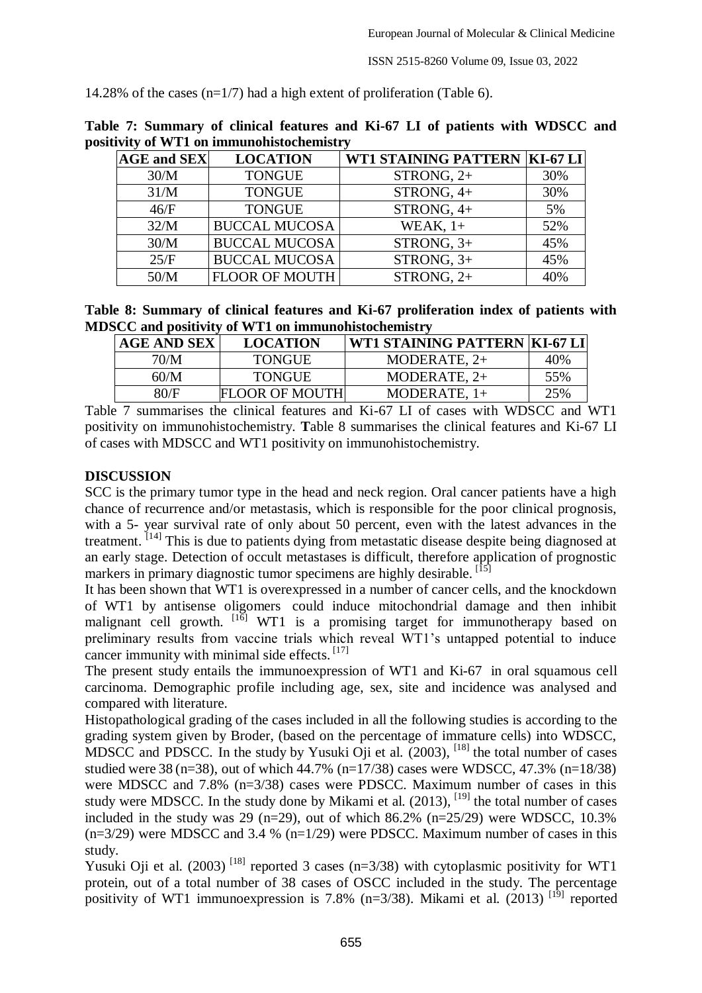14.28% of the cases (n=1/7) had a high extent of proliferation (Table 6).

| <b>AGE and SEX</b> | <b>LOCATION</b>       | WT1 STAINING PATTERN   KI-67 LI |     |
|--------------------|-----------------------|---------------------------------|-----|
| 30/M               | <b>TONGUE</b>         | STRONG, $2+$                    | 30% |
| 31/M               | <b>TONGUE</b>         | STRONG, 4+                      | 30% |
| 46/F               | <b>TONGUE</b>         | STRONG, 4+                      | 5%  |
| 32/M               | <b>BUCCAL MUCOSA</b>  | WEAK, $1+$                      | 52% |
| 30/M               | <b>BUCCAL MUCOSA</b>  | STRONG, $3+$                    | 45% |
| 25/F               | <b>BUCCAL MUCOSA</b>  | STRONG, $3+$                    | 45% |
| 50/M               | <b>FLOOR OF MOUTH</b> | STRONG, $2+$                    | 40% |

**Table 7: Summary of clinical features and Ki-67 LI of patients with WDSCC and positivity of WT1 on immunohistochemistry**

**Table 8: Summary of clinical features and Ki-67 proliferation index of patients with MDSCC and positivity of WT1 on immunohistochemistry**

| <b>AGE AND SEX</b> | <b>LOCATION</b>       | WT1 STAINING PATTERN   KI-67 LI |     |
|--------------------|-----------------------|---------------------------------|-----|
| 70/M               | <b>TONGUE</b>         | MODERATE, $2+$                  | 40% |
| 60/M               | <b>TONGUE</b>         | MODERATE, $2+$                  | 55% |
| 80/F               | <b>FLOOR OF MOUTH</b> | MODERATE, $1+$                  | 25% |

Table 7 summarises the clinical features and Ki-67 LI of cases with WDSCC and WT1 positivity on immunohistochemistry. **T**able 8 summarises the clinical features and Ki-67 LI of cases with MDSCC and WT1 positivity on immunohistochemistry.

#### **DISCUSSION**

SCC is the primary tumor type in the head and neck region. Oral cancer patients have a high chance of recurrence and/or metastasis, which is responsible for the poor clinical prognosis, with a 5- year survival rate of only about 50 percent, even with the latest advances in the treatment. [14] This is due to patients dying from metastatic disease despite being diagnosed at an early stage. Detection of occult metastases is difficult, therefore application of prognostic markers in primary diagnostic tumor specimens are highly desirable. [15]

It has been shown that WT1 is overexpressed in a number of cancer cells, and the knockdown of WT1 by antisense oligomers could induce mitochondrial damage and then inhibit malignant cell growth. [16] WT1 is a promising target for immunotherapy based on preliminary results from vaccine trials which reveal WT1's untapped potential to induce cancer immunity with minimal side effects. [17]

The present study entails the immunoexpression of WT1 and Ki-67 in oral squamous cell carcinoma. Demographic profile including age, sex, site and incidence was analysed and compared with literature.

Histopathological grading of the cases included in all the following studies is according to the grading system given by Broder, (based on the percentage of immature cells) into WDSCC, MDSCC and PDSCC. In the study by Yusuki Oji et al.  $(2003)$ ,  $^{[18]}$  the total number of cases studied were 38 (n=38), out of which 44.7% (n=17/38) cases were WDSCC, 47.3% (n=18/38) were MDSCC and 7.8% (n=3/38) cases were PDSCC. Maximum number of cases in this study were MDSCC. In the study done by Mikami et al.  $(2013)$ , <sup>[19]</sup> the total number of cases included in the study was 29 (n=29), out of which 86.2% (n=25/29) were WDSCC,  $10.3\%$  $(n=3/29)$  were MDSCC and 3.4 %  $(n=1/29)$  were PDSCC. Maximum number of cases in this study.

Yusuki Oji et al.  $(2003)$ <sup>[18]</sup> reported 3 cases (n=3/38) with cytoplasmic positivity for WT1 protein, out of a total number of 38 cases of OSCC included in the study. The percentage positivity of WT1 immunoexpression is 7.8% (n=3/38). Mikami et al. (2013) <sup>[19]</sup> reported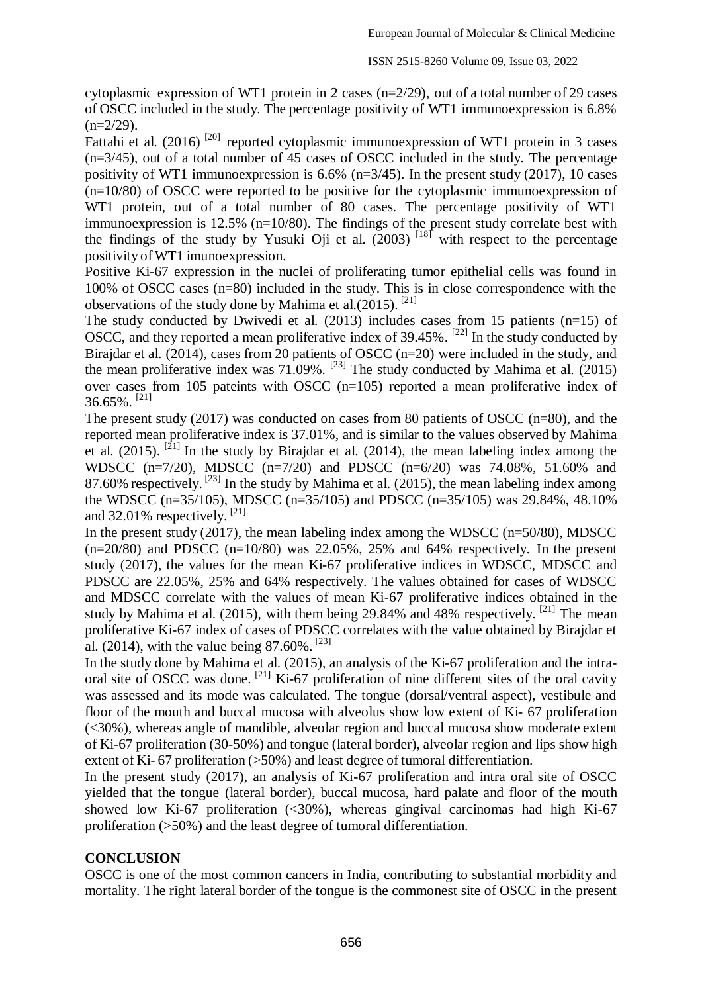cytoplasmic expression of WT1 protein in 2 cases (n=2/29), out of a total number of 29 cases of OSCC included in the study. The percentage positivity of WT1 immunoexpression is 6.8%  $(n=2/29)$ .

Fattahi et al. (2016)<sup>[20]</sup> reported cytoplasmic immunoexpression of WT1 protein in 3 cases (n=3/45), out of a total number of 45 cases of OSCC included in the study. The percentage positivity of WT1 immunoexpression is 6.6% (n=3/45). In the present study (2017), 10 cases  $(n=10/80)$  of OSCC were reported to be positive for the cytoplasmic immunoexpression of WT1 protein, out of a total number of 80 cases. The percentage positivity of WT1 immunoexpression is 12.5% (n=10/80). The findings of the present study correlate best with the findings of the study by Yusuki Oji et al.  $(2003)$ <sup>[18]</sup> with respect to the percentage positivity ofWT1 imunoexpression.

Positive Ki-67 expression in the nuclei of proliferating tumor epithelial cells was found in 100% of OSCC cases (n=80) included in the study. This is in close correspondence with the observations of the study done by Mahima et al.(2015). [21]

The study conducted by Dwivedi et al.  $(2013)$  includes cases from 15 patients (n=15) of OSCC, and they reported a mean proliferative index of 39.45%. <sup>[22]</sup> In the study conducted by Birajdar et al. (2014), cases from 20 patients of OSCC (n=20) were included in the study, and the mean proliferative index was  $71.09\%$ . <sup>[23]</sup> The study conducted by Mahima et al. (2015) over cases from 105 pateints with OSCC (n=105) reported a mean proliferative index of 36.65%. [21]

The present study (2017) was conducted on cases from 80 patients of OSCC (n=80), and the reported mean proliferative index is 37.01%, and is similar to the values observed by Mahima et al.  $(2015)$ . <sup>[21]</sup> In the study by Birajdar et al.  $(2014)$ , the mean labeling index among the WDSCC (n=7/20), MDSCC (n=7/20) and PDSCC (n=6/20) was 74.08%, 51.60% and 87.60% respectively.  $^{[23]}$  In the study by Mahima et al. (2015), the mean labeling index among the WDSCC (n=35/105), MDSCC (n=35/105) and PDSCC (n=35/105) was 29.84%, 48.10% and 32.01% respectively.  $[21]$ 

In the present study  $(2017)$ , the mean labeling index among the WDSCC (n=50/80), MDSCC  $(n=20/80)$  and PDSCC  $(n=10/80)$  was 22.05%, 25% and 64% respectively. In the present study (2017), the values for the mean Ki-67 proliferative indices in WDSCC, MDSCC and PDSCC are 22.05%, 25% and 64% respectively. The values obtained for cases of WDSCC and MDSCC correlate with the values of mean Ki-67 proliferative indices obtained in the study by Mahima et al. (2015), with them being 29.84% and 48% respectively. <sup>[21]</sup> The mean proliferative Ki-67 index of cases of PDSCC correlates with the value obtained by Birajdar et al. (2014), with the value being  $87.60\%$ . <sup>[23]</sup>

In the study done by Mahima et al. (2015), an analysis of the Ki-67 proliferation and the intraoral site of OSCC was done. <sup>[21]</sup> Ki-67 proliferation of nine different sites of the oral cavity was assessed and its mode was calculated. The tongue (dorsal/ventral aspect), vestibule and floor of the mouth and buccal mucosa with alveolus show low extent of Ki- 67 proliferation (<30%), whereas angle of mandible, alveolar region and buccal mucosa show moderate extent of Ki-67 proliferation (30-50%) and tongue (lateral border), alveolar region and lips show high extent of Ki- 67 proliferation (>50%) and least degree of tumoral differentiation.

In the present study (2017), an analysis of Ki-67 proliferation and intra oral site of OSCC yielded that the tongue (lateral border), buccal mucosa, hard palate and floor of the mouth showed low Ki-67 proliferation (<30%), whereas gingival carcinomas had high Ki-67 proliferation (>50%) and the least degree of tumoral differentiation.

### **CONCLUSION**

OSCC is one of the most common cancers in India, contributing to substantial morbidity and mortality. The right lateral border of the tongue is the commonest site of OSCC in the present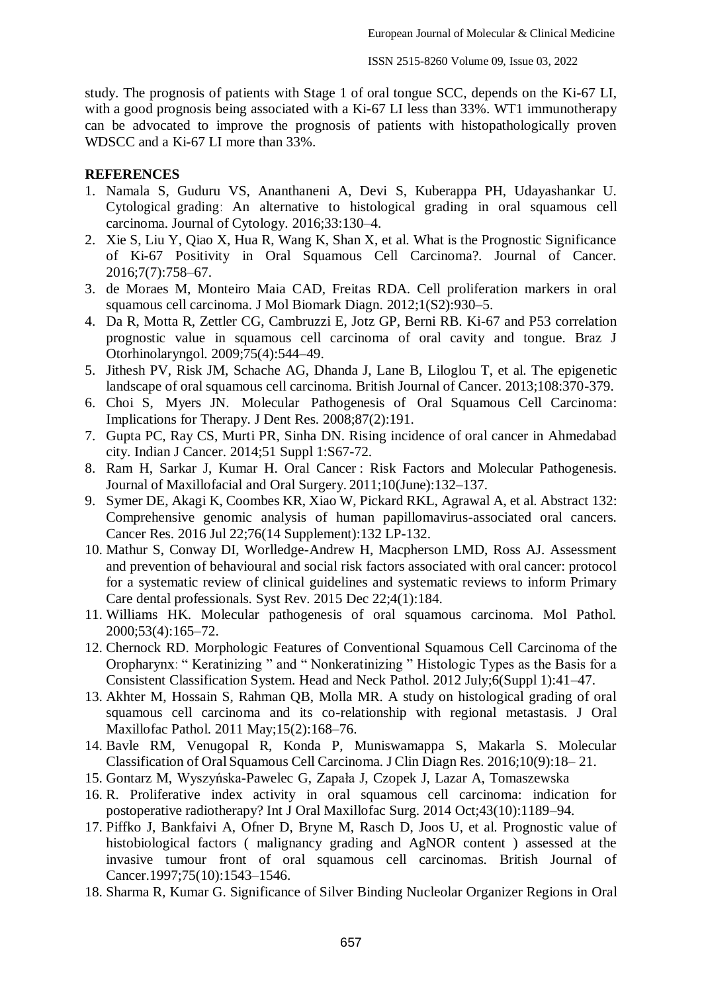study. The prognosis of patients with Stage 1 of oral tongue SCC, depends on the Ki-67 LI, with a good prognosis being associated with a Ki-67 LI less than 33%. WT1 immunotherapy can be advocated to improve the prognosis of patients with histopathologically proven WDSCC and a Ki-67 LI more than 33%.

#### **REFERENCES**

- 1. Namala S, Guduru VS, Ananthaneni A, Devi S, Kuberappa PH, Udayashankar U. Cytological grading: An alternative to histological grading in oral squamous cell carcinoma. Journal of Cytology. 2016;33:130–4.
- 2. Xie S, Liu Y, Qiao X, Hua R, Wang K, Shan X, et al. What is the Prognostic Significance of Ki-67 Positivity in Oral Squamous Cell Carcinoma?. Journal of Cancer. 2016;7(7):758–67.
- 3. de Moraes M, Monteiro Maia CAD, Freitas RDA. Cell proliferation markers in oral squamous cell carcinoma. J Mol Biomark Diagn. 2012;1(S2):930–5.
- 4. Da R, Motta R, Zettler CG, Cambruzzi E, Jotz GP, Berni RB. Ki-67 and P53 correlation prognostic value in squamous cell carcinoma of oral cavity and tongue. Braz J Otorhinolaryngol. 2009;75(4):544–49.
- 5. Jithesh PV, Risk JM, Schache AG, Dhanda J, Lane B, Liloglou T, et al. The epigenetic landscape of oral squamous cell carcinoma. British Journal of Cancer. 2013;108:370-379.
- 6. Choi S, Myers JN. Molecular Pathogenesis of Oral Squamous Cell Carcinoma: Implications for Therapy. J Dent Res. 2008;87(2):191.
- 7. Gupta PC, Ray CS, Murti PR, Sinha DN. Rising incidence of oral cancer in Ahmedabad city. Indian J Cancer. 2014;51 Suppl 1:S67-72.
- 8. Ram H, Sarkar J, Kumar H. Oral Cancer : Risk Factors and Molecular Pathogenesis. Journal of Maxillofacial and Oral Surgery. 2011;10(June):132–137.
- 9. Symer DE, Akagi K, Coombes KR, Xiao W, Pickard RKL, Agrawal A, et al. Abstract 132: Comprehensive genomic analysis of human papillomavirus-associated oral cancers. Cancer Res. 2016 Jul 22;76(14 Supplement):132 LP-132.
- 10. Mathur S, Conway DI, Worlledge-Andrew H, Macpherson LMD, Ross AJ. Assessment and prevention of behavioural and social risk factors associated with oral cancer: protocol for a systematic review of clinical guidelines and systematic reviews to inform Primary Care dental professionals. Syst Rev. 2015 Dec 22;4(1):184.
- 11. Williams HK. Molecular pathogenesis of oral squamous carcinoma. Mol Pathol. 2000;53(4):165–72.
- 12. Chernock RD. Morphologic Features of Conventional Squamous Cell Carcinoma of the Oropharynx: " Keratinizing " and " Nonkeratinizing " Histologic Types as the Basis for a Consistent Classification System. Head and Neck Pathol. 2012 July;6(Suppl 1):41–47.
- 13. Akhter M, Hossain S, Rahman QB, Molla MR. A study on histological grading of oral squamous cell carcinoma and its co-relationship with regional metastasis. J Oral Maxillofac Pathol. 2011 May;15(2):168–76.
- 14. Bavle RM, Venugopal R, Konda P, Muniswamappa S, Makarla S. Molecular Classification of Oral Squamous Cell Carcinoma. J Clin Diagn Res. 2016;10(9):18– 21.
- 15. Gontarz M, Wyszyńska-Pawelec G, Zapała J, Czopek J, Lazar A, Tomaszewska
- 16. R. Proliferative index activity in oral squamous cell carcinoma: indication for postoperative radiotherapy? Int J Oral Maxillofac Surg. 2014 Oct;43(10):1189–94.
- 17. Piffko J, Bankfaivi A, Ofner D, Bryne M, Rasch D, Joos U, et al. Prognostic value of histobiological factors ( malignancy grading and AgNOR content ) assessed at the invasive tumour front of oral squamous cell carcinomas. British Journal of Cancer.1997;75(10):1543–1546.
- 18. Sharma R, Kumar G. Significance of Silver Binding Nucleolar Organizer Regions in Oral